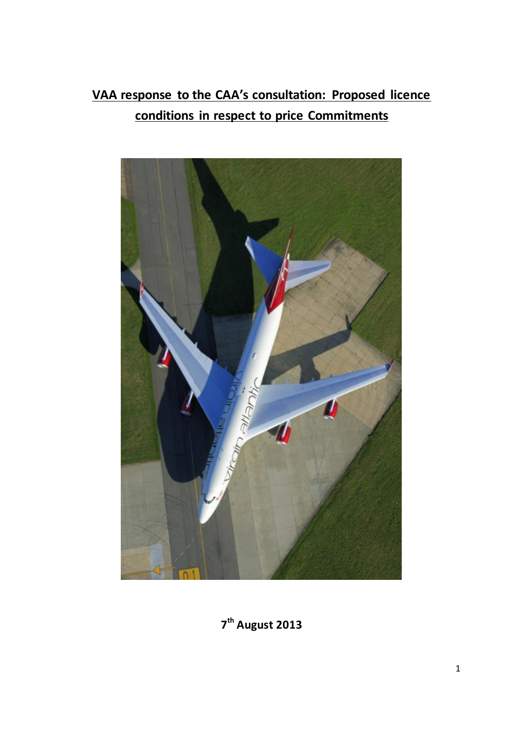# **VAA response to the CAA's consultation: Proposed licence conditions in respect to price Commitments**



**7 th August 2013**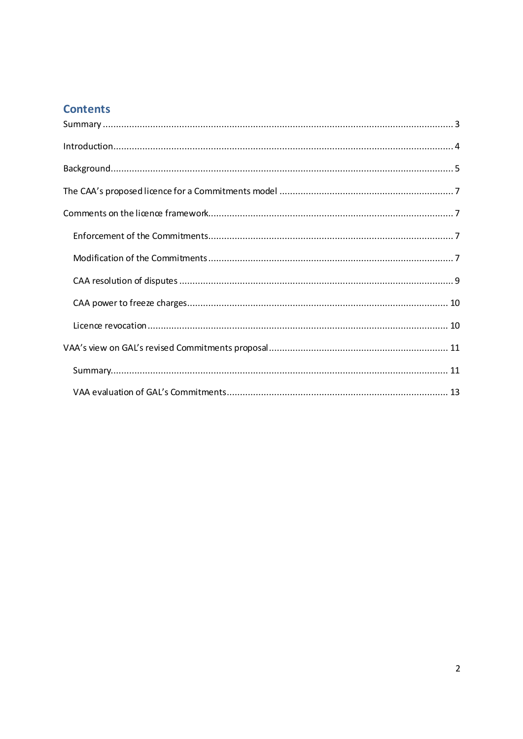# **Contents**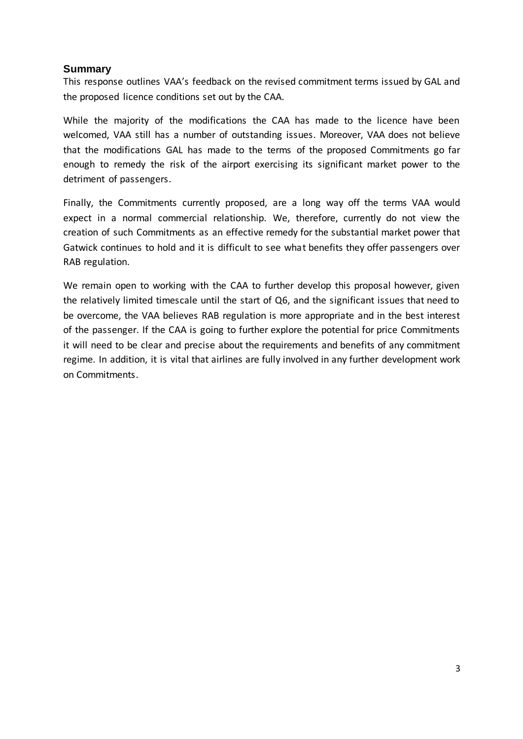# <span id="page-2-0"></span>**Summary**

This response outlines VAA's feedback on the revised commitment terms issued by GAL and the proposed licence conditions set out by the CAA.

While the majority of the modifications the CAA has made to the licence have been welcomed, VAA still has a number of outstanding issues. Moreover, VAA does not believe that the modifications GAL has made to the terms of the proposed Commitments go far enough to remedy the risk of the airport exercising its significant market power to the detriment of passengers.

Finally, the Commitments currently proposed, are a long way off the terms VAA would expect in a normal commercial relationship. We, therefore, currently do not view the creation of such Commitments as an effective remedy for the substantial market power that Gatwick continues to hold and it is difficult to see what benefits they offer passengers over RAB regulation.

We remain open to working with the CAA to further develop this proposal however, given the relatively limited timescale until the start of Q6, and the significant issues that need to be overcome, the VAA believes RAB regulation is more appropriate and in the best interest of the passenger. If the CAA is going to further explore the potential for price Commitments it will need to be clear and precise about the requirements and benefits of any commitment regime. In addition, it is vital that airlines are fully involved in any further development work on Commitments.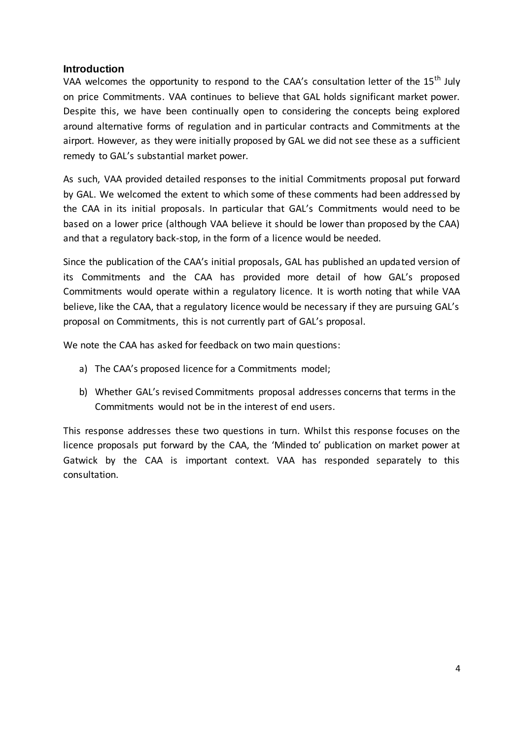#### <span id="page-3-0"></span>**Introduction**

VAA welcomes the opportunity to respond to the CAA's consultation letter of the 15<sup>th</sup> July on price Commitments. VAA continues to believe that GAL holds significant market power. Despite this, we have been continually open to considering the concepts being explored around alternative forms of regulation and in particular contracts and Commitments at the airport. However, as they were initially proposed by GAL we did not see these as a sufficient remedy to GAL's substantial market power.

As such, VAA provided detailed responses to the initial Commitments proposal put forward by GAL. We welcomed the extent to which some of these comments had been addressed by the CAA in its initial proposals. In particular that GAL's Commitments would need to be based on a lower price (although VAA believe it should be lower than proposed by the CAA) and that a regulatory back-stop, in the form of a licence would be needed.

Since the publication of the CAA's initial proposals, GAL has published an updated version of its Commitments and the CAA has provided more detail of how GAL's proposed Commitments would operate within a regulatory licence. It is worth noting that while VAA believe, like the CAA, that a regulatory licence would be necessary if they are pursuing GAL's proposal on Commitments, this is not currently part of GAL's proposal.

We note the CAA has asked for feedback on two main questions:

- a) The CAA's proposed licence for a Commitments model;
- b) Whether GAL's revised Commitments proposal addresses concerns that terms in the Commitments would not be in the interest of end users.

This response addresses these two questions in turn. Whilst this response focuses on the licence proposals put forward by the CAA, the 'Minded to' publication on market power at Gatwick by the CAA is important context. VAA has responded separately to this consultation.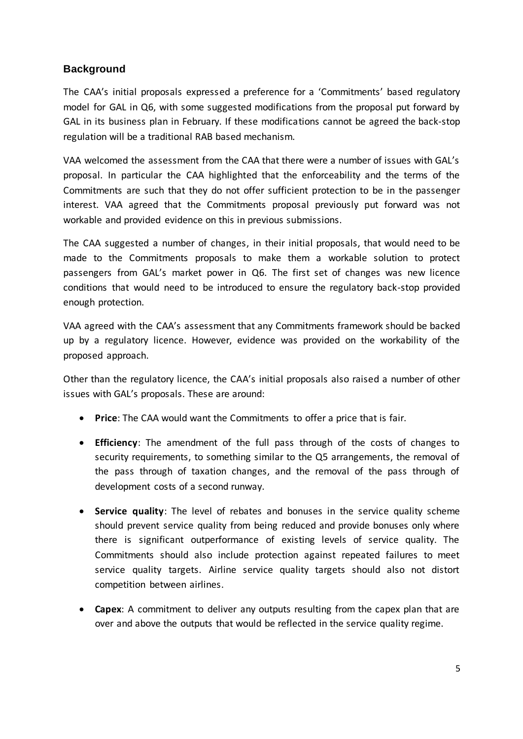# <span id="page-4-0"></span>**Background**

The CAA's initial proposals expressed a preference for a 'Commitments' based regulatory model for GAL in Q6, with some suggested modifications from the proposal put forward by GAL in its business plan in February. If these modifications cannot be agreed the back-stop regulation will be a traditional RAB based mechanism.

VAA welcomed the assessment from the CAA that there were a number of issues with GAL's proposal. In particular the CAA highlighted that the enforceability and the terms of the Commitments are such that they do not offer sufficient protection to be in the passenger interest. VAA agreed that the Commitments proposal previously put forward was not workable and provided evidence on this in previous submissions.

The CAA suggested a number of changes, in their initial proposals, that would need to be made to the Commitments proposals to make them a workable solution to protect passengers from GAL's market power in Q6. The first set of changes was new licence conditions that would need to be introduced to ensure the regulatory back-stop provided enough protection.

VAA agreed with the CAA's assessment that any Commitments framework should be backed up by a regulatory licence. However, evidence was provided on the workability of the proposed approach.

Other than the regulatory licence, the CAA's initial proposals also raised a number of other issues with GAL's proposals. These are around:

- **Price**: The CAA would want the Commitments to offer a price that is fair.
- **Efficiency**: The amendment of the full pass through of the costs of changes to security requirements, to something similar to the Q5 arrangements, the removal of the pass through of taxation changes, and the removal of the pass through of development costs of a second runway.
- **Service quality**: The level of rebates and bonuses in the service quality scheme should prevent service quality from being reduced and provide bonuses only where there is significant outperformance of existing levels of service quality. The Commitments should also include protection against repeated failures to meet service quality targets. Airline service quality targets should also not distort competition between airlines.
- **Capex**: A commitment to deliver any outputs resulting from the capex plan that are over and above the outputs that would be reflected in the service quality regime.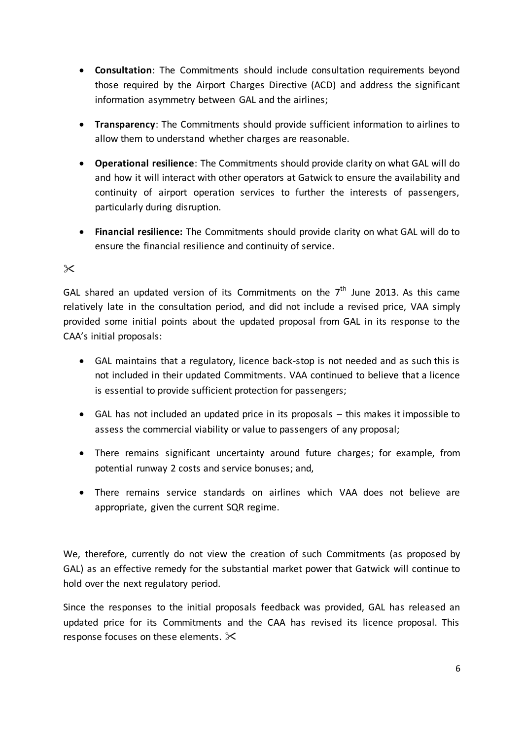- **Consultation**: The Commitments should include consultation requirements beyond those required by the Airport Charges Directive (ACD) and address the significant information asymmetry between GAL and the airlines;
- **Transparency**: The Commitments should provide sufficient information to airlines to allow them to understand whether charges are reasonable.
- **Operational resilience**: The Commitments should provide clarity on what GAL will do and how it will interact with other operators at Gatwick to ensure the availability and continuity of airport operation services to further the interests of passengers, particularly during disruption.
- **Financial resilience:** The Commitments should provide clarity on what GAL will do to ensure the financial resilience and continuity of service.

# $\times$

GAL shared an updated version of its Commitments on the  $7<sup>th</sup>$  June 2013. As this came relatively late in the consultation period, and did not include a revised price, VAA simply provided some initial points about the updated proposal from GAL in its response to the CAA's initial proposals:

- GAL maintains that a regulatory, licence back-stop is not needed and as such this is not included in their updated Commitments. VAA continued to believe that a licence is essential to provide sufficient protection for passengers;
- GAL has not included an updated price in its proposals this makes it impossible to assess the commercial viability or value to passengers of any proposal;
- There remains significant uncertainty around future charges; for example, from potential runway 2 costs and service bonuses; and,
- There remains service standards on airlines which VAA does not believe are appropriate, given the current SQR regime.

We, therefore, currently do not view the creation of such Commitments (as proposed by GAL) as an effective remedy for the substantial market power that Gatwick will continue to hold over the next regulatory period.

Since the responses to the initial proposals feedback was provided, GAL has released an updated price for its Commitments and the CAA has revised its licence proposal. This response focuses on these elements.  $\mathbb{X}$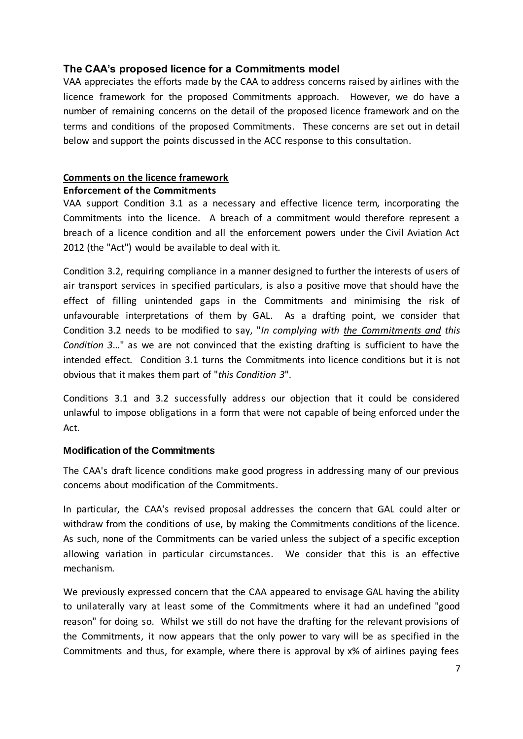# <span id="page-6-0"></span>**The CAA's proposed licence for a Commitments model**

VAA appreciates the efforts made by the CAA to address concerns raised by airlines with the licence framework for the proposed Commitments approach. However, we do have a number of remaining concerns on the detail of the proposed licence framework and on the terms and conditions of the proposed Commitments. These concerns are set out in detail below and support the points discussed in the ACC response to this consultation.

# <span id="page-6-1"></span>**Comments on the licence framework**

# <span id="page-6-2"></span>**Enforcement of the Commitments**

VAA support Condition 3.1 as a necessary and effective licence term, incorporating the Commitments into the licence. A breach of a commitment would therefore represent a breach of a licence condition and all the enforcement powers under the Civil Aviation Act 2012 (the "Act") would be available to deal with it.

Condition 3.2, requiring compliance in a manner designed to further the interests of users of air transport services in specified particulars, is also a positive move that should have the effect of filling unintended gaps in the Commitments and minimising the risk of unfavourable interpretations of them by GAL. As a drafting point, we consider that Condition 3.2 needs to be modified to say, "*In complying with the Commitments and this Condition 3*…" as we are not convinced that the existing drafting is sufficient to have the intended effect. Condition 3.1 turns the Commitments into licence conditions but it is not obvious that it makes them part of "*this Condition 3*".

Conditions 3.1 and 3.2 successfully address our objection that it could be considered unlawful to impose obligations in a form that were not capable of being enforced under the Act.

# <span id="page-6-3"></span>**Modification of the Commitments**

The CAA's draft licence conditions make good progress in addressing many of our previous concerns about modification of the Commitments.

In particular, the CAA's revised proposal addresses the concern that GAL could alter or withdraw from the conditions of use, by making the Commitments conditions of the licence. As such, none of the Commitments can be varied unless the subject of a specific exception allowing variation in particular circumstances. We consider that this is an effective mechanism.

We previously expressed concern that the CAA appeared to envisage GAL having the ability to unilaterally vary at least some of the Commitments where it had an undefined "good reason" for doing so. Whilst we still do not have the drafting for the relevant provisions of the Commitments, it now appears that the only power to vary will be as specified in the Commitments and thus, for example, where there is approval by x% of airlines paying fees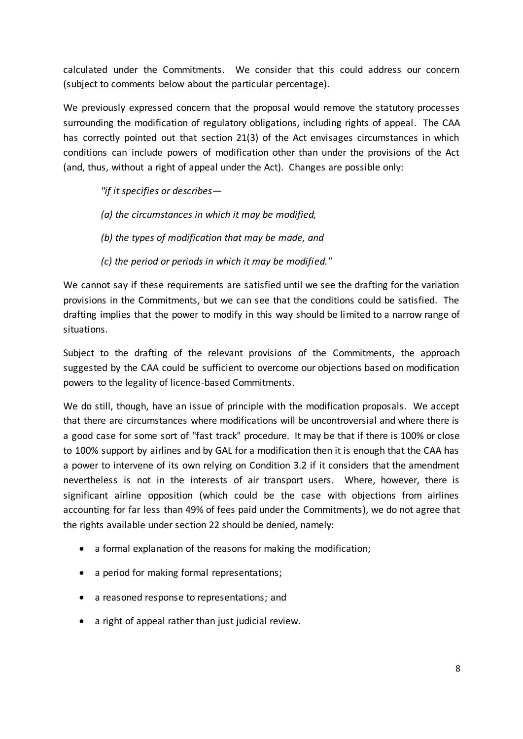calculated under the Commitments. We consider that this could address our concern (subject to comments below about the particular percentage).

We previously expressed concern that the proposal would remove the statutory processes surrounding the modification of regulatory obligations, including rights of appeal. The CAA has correctly pointed out that section 21(3) of the Act envisages circumstances in which conditions can include powers of modification other than under the provisions of the Act (and, thus, without a right of appeal under the Act). Changes are possible only:

*"if it specifies or describes—*

- *(a) the circumstances in which it may be modified,*
- *(b) the types of modification that may be made, and*
- *(c) the period or periods in which it may be modified."*

We cannot say if these requirements are satisfied until we see the drafting for the variation provisions in the Commitments, but we can see that the conditions could be satisfied. The drafting implies that the power to modify in this way should be limited to a narrow range of situations.

Subject to the drafting of the relevant provisions of the Commitments, the approach suggested by the CAA could be sufficient to overcome our objections based on modification powers to the legality of licence-based Commitments.

We do still, though, have an issue of principle with the modification proposals. We accept that there are circumstances where modifications will be uncontroversial and where there is a good case for some sort of "fast track" procedure. It may be that if there is 100% or close to 100% support by airlines and by GAL for a modification then it is enough that the CAA has a power to intervene of its own relying on Condition 3.2 if it considers that the amendment nevertheless is not in the interests of air transport users. Where, however, there is significant airline opposition (which could be the case with objections from airlines accounting for far less than 49% of fees paid under the Commitments), we do not agree that the rights available under section 22 should be denied, namely:

- a formal explanation of the reasons for making the modification;
- a period for making formal representations;
- a reasoned response to representations; and
- a right of appeal rather than just judicial review.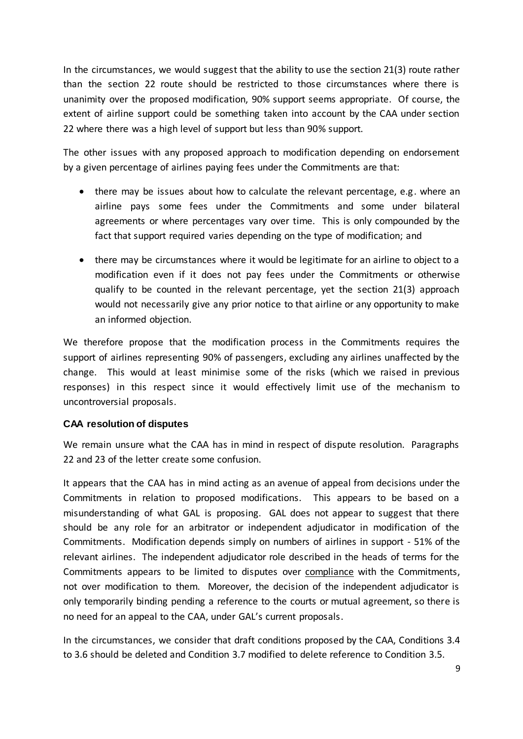In the circumstances, we would suggest that the ability to use the section 21(3) route rather than the section 22 route should be restricted to those circumstances where there is unanimity over the proposed modification, 90% support seems appropriate. Of course, the extent of airline support could be something taken into account by the CAA under section 22 where there was a high level of support but less than 90% support.

The other issues with any proposed approach to modification depending on endorsement by a given percentage of airlines paying fees under the Commitments are that:

- there may be issues about how to calculate the relevant percentage, e.g. where an airline pays some fees under the Commitments and some under bilateral agreements or where percentages vary over time. This is only compounded by the fact that support required varies depending on the type of modification; and
- there may be circumstances where it would be legitimate for an airline to object to a modification even if it does not pay fees under the Commitments or otherwise qualify to be counted in the relevant percentage, yet the section 21(3) approach would not necessarily give any prior notice to that airline or any opportunity to make an informed objection.

We therefore propose that the modification process in the Commitments requires the support of airlines representing 90% of passengers, excluding any airlines unaffected by the change. This would at least minimise some of the risks (which we raised in previous responses) in this respect since it would effectively limit use of the mechanism to uncontroversial proposals.

# <span id="page-8-0"></span>**CAA resolution of disputes**

We remain unsure what the CAA has in mind in respect of dispute resolution. Paragraphs 22 and 23 of the letter create some confusion.

It appears that the CAA has in mind acting as an avenue of appeal from decisions under the Commitments in relation to proposed modifications. This appears to be based on a misunderstanding of what GAL is proposing. GAL does not appear to suggest that there should be any role for an arbitrator or independent adjudicator in modification of the Commitments. Modification depends simply on numbers of airlines in support - 51% of the relevant airlines. The independent adjudicator role described in the heads of terms for the Commitments appears to be limited to disputes over compliance with the Commitments, not over modification to them. Moreover, the decision of the independent adjudicator is only temporarily binding pending a reference to the courts or mutual agreement, so there is no need for an appeal to the CAA, under GAL's current proposals.

In the circumstances, we consider that draft conditions proposed by the CAA, Conditions 3.4 to 3.6 should be deleted and Condition 3.7 modified to delete reference to Condition 3.5.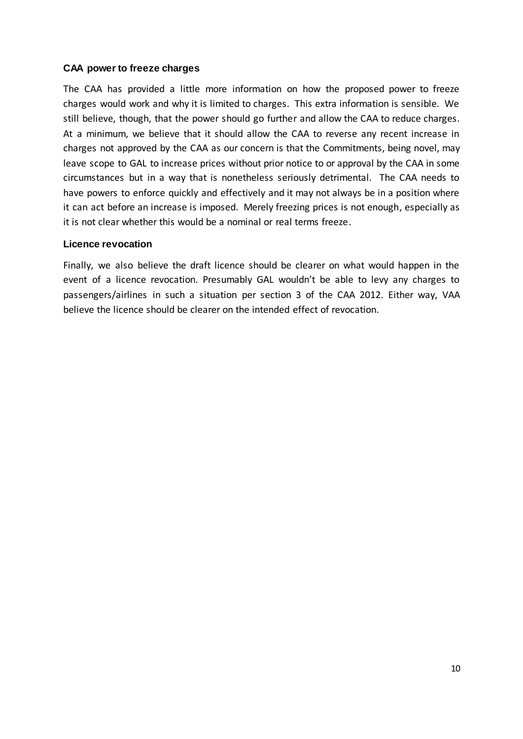## <span id="page-9-0"></span>**CAA power to freeze charges**

The CAA has provided a little more information on how the proposed power to freeze charges would work and why it is limited to charges. This extra information is sensible. We still believe, though, that the power should go further and allow the CAA to reduce charges. At a minimum, we believe that it should allow the CAA to reverse any recent increase in charges not approved by the CAA as our concern is that the Commitments, being novel, may leave scope to GAL to increase prices without prior notice to or approval by the CAA in some circumstances but in a way that is nonetheless seriously detrimental. The CAA needs to have powers to enforce quickly and effectively and it may not always be in a position where it can act before an increase is imposed. Merely freezing prices is not enough, especially as it is not clear whether this would be a nominal or real terms freeze.

#### <span id="page-9-1"></span>**Licence revocation**

Finally, we also believe the draft licence should be clearer on what would happen in the event of a licence revocation. Presumably GAL wouldn't be able to levy any charges to passengers/airlines in such a situation per section 3 of the CAA 2012. Either way, VAA believe the licence should be clearer on the intended effect of revocation.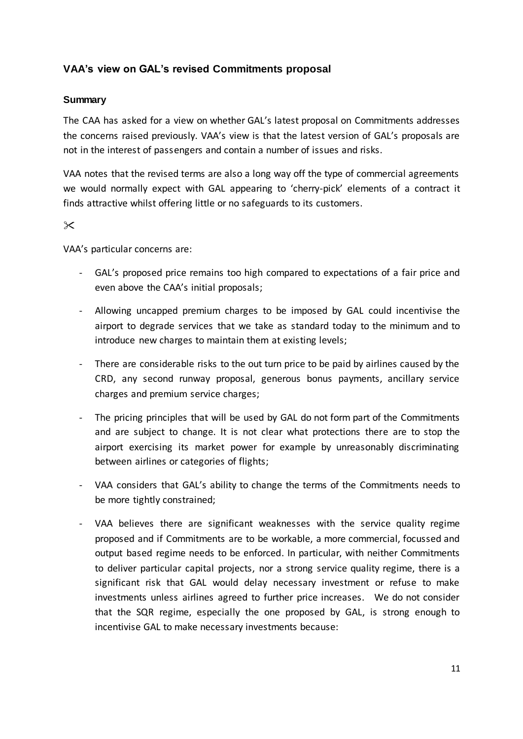# <span id="page-10-0"></span>**VAA's view on GAL's revised Commitments proposal**

## <span id="page-10-1"></span>**Summary**

The CAA has asked for a view on whether GAL's latest proposal on Commitments addresses the concerns raised previously. VAA's view is that the latest version of GAL's proposals are not in the interest of passengers and contain a number of issues and risks.

VAA notes that the revised terms are also a long way off the type of commercial agreements we would normally expect with GAL appearing to 'cherry-pick' elements of a contract it finds attractive whilst offering little or no safeguards to its customers.

 $\chi$ 

VAA's particular concerns are:

- GAL's proposed price remains too high compared to expectations of a fair price and even above the CAA's initial proposals;
- Allowing uncapped premium charges to be imposed by GAL could incentivise the airport to degrade services that we take as standard today to the minimum and to introduce new charges to maintain them at existing levels;
- There are considerable risks to the out turn price to be paid by airlines caused by the CRD, any second runway proposal, generous bonus payments, ancillary service charges and premium service charges;
- The pricing principles that will be used by GAL do not form part of the Commitments and are subject to change. It is not clear what protections there are to stop the airport exercising its market power for example by unreasonably discriminating between airlines or categories of flights;
- VAA considers that GAL's ability to change the terms of the Commitments needs to be more tightly constrained;
- VAA believes there are significant weaknesses with the service quality regime proposed and if Commitments are to be workable, a more commercial, focussed and output based regime needs to be enforced. In particular, with neither Commitments to deliver particular capital projects, nor a strong service quality regime, there is a significant risk that GAL would delay necessary investment or refuse to make investments unless airlines agreed to further price increases. We do not consider that the SQR regime, especially the one proposed by GAL, is strong enough to incentivise GAL to make necessary investments because: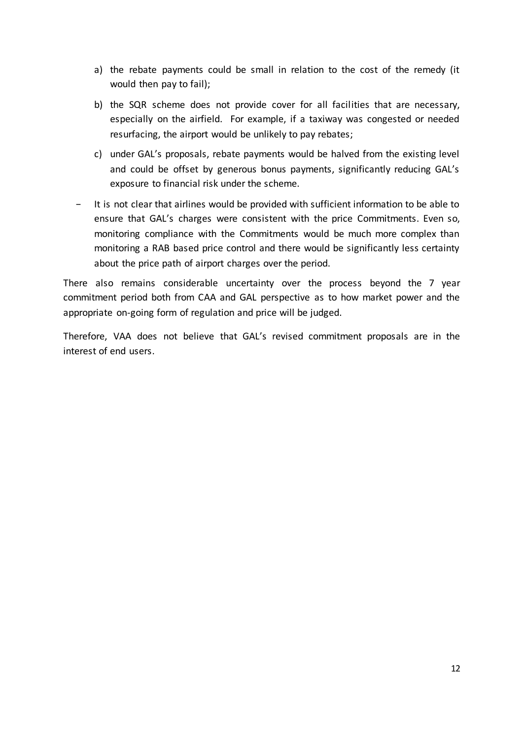- a) the rebate payments could be small in relation to the cost of the remedy (it would then pay to fail);
- b) the SQR scheme does not provide cover for all facilities that are necessary, especially on the airfield. For example, if a taxiway was congested or needed resurfacing, the airport would be unlikely to pay rebates;
- c) under GAL's proposals, rebate payments would be halved from the existing level and could be offset by generous bonus payments, significantly reducing GAL's exposure to financial risk under the scheme.
- − It is not clear that airlines would be provided with sufficient information to be able to ensure that GAL's charges were consistent with the price Commitments. Even so, monitoring compliance with the Commitments would be much more complex than monitoring a RAB based price control and there would be significantly less certainty about the price path of airport charges over the period.

There also remains considerable uncertainty over the process beyond the 7 year commitment period both from CAA and GAL perspective as to how market power and the appropriate on-going form of regulation and price will be judged.

Therefore, VAA does not believe that GAL's revised commitment proposals are in the interest of end users.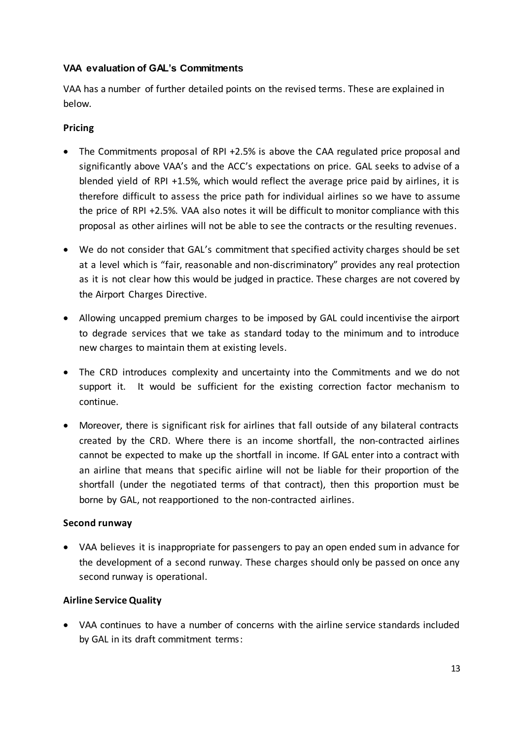# <span id="page-12-0"></span>**VAA evaluation of GAL's Commitments**

VAA has a number of further detailed points on the revised terms. These are explained in below.

# **Pricing**

- The Commitments proposal of RPI +2.5% is above the CAA regulated price proposal and significantly above VAA's and the ACC's expectations on price. GAL seeks to advise of a blended yield of RPI +1.5%, which would reflect the average price paid by airlines, it is therefore difficult to assess the price path for individual airlines so we have to assume the price of RPI +2.5%. VAA also notes it will be difficult to monitor compliance with this proposal as other airlines will not be able to see the contracts or the resulting revenues.
- We do not consider that GAL's commitment that specified activity charges should be set at a level which is "fair, reasonable and non-discriminatory" provides any real protection as it is not clear how this would be judged in practice. These charges are not covered by the Airport Charges Directive.
- Allowing uncapped premium charges to be imposed by GAL could incentivise the airport to degrade services that we take as standard today to the minimum and to introduce new charges to maintain them at existing levels.
- The CRD introduces complexity and uncertainty into the Commitments and we do not support it. It would be sufficient for the existing correction factor mechanism to continue.
- Moreover, there is significant risk for airlines that fall outside of any bilateral contracts created by the CRD. Where there is an income shortfall, the non-contracted airlines cannot be expected to make up the shortfall in income. If GAL enter into a contract with an airline that means that specific airline will not be liable for their proportion of the shortfall (under the negotiated terms of that contract), then this proportion must be borne by GAL, not reapportioned to the non-contracted airlines.

# **Second runway**

 VAA believes it is inappropriate for passengers to pay an open ended sum in advance for the development of a second runway. These charges should only be passed on once any second runway is operational.

# **Airline Service Quality**

 VAA continues to have a number of concerns with the airline service standards included by GAL in its draft commitment terms: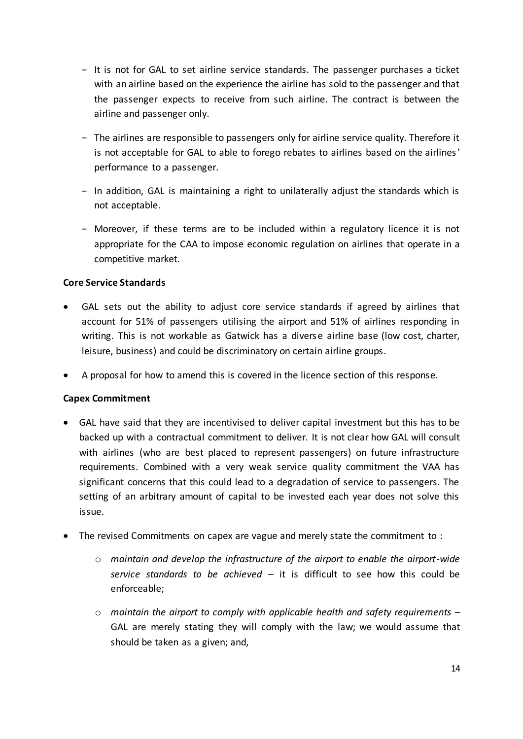- − It is not for GAL to set airline service standards. The passenger purchases a ticket with an airline based on the experience the airline has sold to the passenger and that the passenger expects to receive from such airline. The contract is between the airline and passenger only.
- − The airlines are responsible to passengers only for airline service quality. Therefore it is not acceptable for GAL to able to forego rebates to airlines based on the airlines' performance to a passenger.
- − In addition, GAL is maintaining a right to unilaterally adjust the standards which is not acceptable.
- − Moreover, if these terms are to be included within a regulatory licence it is not appropriate for the CAA to impose economic regulation on airlines that operate in a competitive market.

# **Core Service Standards**

- GAL sets out the ability to adjust core service standards if agreed by airlines that account for 51% of passengers utilising the airport and 51% of airlines responding in writing. This is not workable as Gatwick has a diverse airline base (low cost, charter, leisure, business) and could be discriminatory on certain airline groups.
- A proposal for how to amend this is covered in the licence section of this response.

# **Capex Commitment**

- GAL have said that they are incentivised to deliver capital investment but this has to be backed up with a contractual commitment to deliver. It is not clear how GAL will consult with airlines (who are best placed to represent passengers) on future infrastructure requirements. Combined with a very weak service quality commitment the VAA has significant concerns that this could lead to a degradation of service to passengers. The setting of an arbitrary amount of capital to be invested each year does not solve this issue.
- The revised Commitments on capex are vague and merely state the commitment to :
	- o *maintain and develop the infrastructure of the airport to enable the airport-wide service standards to be achieved* – it is difficult to see how this could be enforceable;
	- o *maintain the airport to comply with applicable health and safety requirements –* GAL are merely stating they will comply with the law; we would assume that should be taken as a given; and,